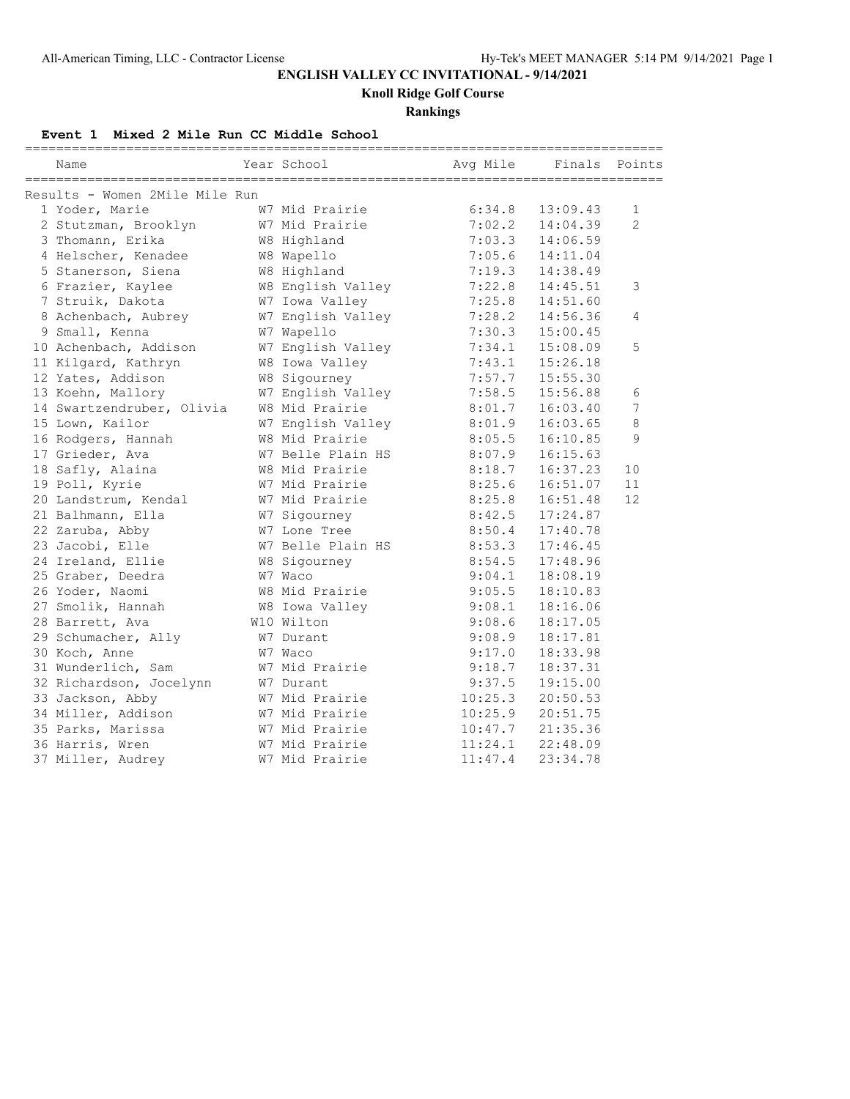**Knoll Ridge Golf Course**

## **Rankings**

**Event 1 Mixed 2 Mile Run CC Middle School**

| ==========<br>Name             | Year School       | Avg Mile | Finals   | Points         |
|--------------------------------|-------------------|----------|----------|----------------|
| Results - Women 2Mile Mile Run |                   |          |          |                |
| 1 Yoder, Marie                 | W7 Mid Prairie    | 6:34.8   | 13:09.43 | 1              |
| 2 Stutzman, Brooklyn           | W7 Mid Prairie    | 7:02.2   | 14:04.39 | $\overline{2}$ |
| 3 Thomann, Erika               | W8 Highland       | 7:03.3   | 14:06.59 |                |
| 4 Helscher, Kenadee            | W8 Wapello        | 7:05.6   | 14:11.04 |                |
| 5 Stanerson, Siena             | W8 Highland       | 7:19.3   | 14:38.49 |                |
| 6 Frazier, Kaylee              | W8 English Valley | 7:22.8   | 14:45.51 | 3              |
| 7 Struik, Dakota               | W7 Iowa Valley    | 7:25.8   | 14:51.60 |                |
| 8 Achenbach, Aubrey            | W7 English Valley | 7:28.2   | 14:56.36 | 4              |
| 9 Small, Kenna                 | W7 Wapello        | 7:30.3   | 15:00.45 |                |
| 10 Achenbach, Addison          | W7 English Valley | 7:34.1   | 15:08.09 | 5              |
| 11 Kilgard, Kathryn            | W8 Iowa Valley    | 7:43.1   | 15:26.18 |                |
| 12 Yates, Addison              | W8 Sigourney      | 7:57.7   | 15:55.30 |                |
| 13 Koehn, Mallory              | W7 English Valley | 7:58.5   | 15:56.88 | 6              |
| 14 Swartzendruber, Olivia      | W8 Mid Prairie    | 8:01.7   | 16:03.40 | 7              |
| 15 Lown, Kailor                | W7 English Valley | 8:01.9   | 16:03.65 | 8              |
| 16 Rodgers, Hannah             | W8 Mid Prairie    | 8:05.5   | 16:10.85 | 9              |
| 17 Grieder, Ava                | W7 Belle Plain HS | 8:07.9   | 16:15.63 |                |
| 18 Safly, Alaina               | W8 Mid Prairie    | 8:18.7   | 16:37.23 | 10             |
| 19 Poll, Kyrie                 | W7 Mid Prairie    | 8:25.6   | 16:51.07 | 11             |
| 20 Landstrum, Kendal           | W7 Mid Prairie    | 8:25.8   | 16:51.48 | 12             |
| 21 Balhmann, Ella              | W7 Sigourney      | 8:42.5   | 17:24.87 |                |
| 22 Zaruba, Abby                | W7 Lone Tree      | 8:50.4   | 17:40.78 |                |
| 23 Jacobi, Elle                | W7 Belle Plain HS | 8:53.3   | 17:46.45 |                |
| 24 Ireland, Ellie              | W8 Sigourney      | 8:54.5   | 17:48.96 |                |
| 25 Graber, Deedra              | W7 Waco           | 9:04.1   | 18:08.19 |                |
| 26 Yoder, Naomi                | W8 Mid Prairie    | 9:05.5   | 18:10.83 |                |
| 27 Smolik, Hannah              | W8 Iowa Valley    | 9:08.1   | 18:16.06 |                |
| 28 Barrett, Ava                | W10 Wilton        | 9:08.6   | 18:17.05 |                |
| 29 Schumacher, Ally            | W7 Durant         | 9:08.9   | 18:17.81 |                |
| 30 Koch, Anne                  | W7 Waco           | 9:17.0   | 18:33.98 |                |
| 31 Wunderlich, Sam             | W7 Mid Prairie    | 9:18.7   | 18:37.31 |                |
| 32 Richardson, Jocelynn        | W7 Durant         | 9:37.5   | 19:15.00 |                |
| 33 Jackson, Abby               | W7 Mid Prairie    | 10:25.3  | 20:50.53 |                |
| 34 Miller, Addison             | W7 Mid Prairie    | 10:25.9  | 20:51.75 |                |
| 35 Parks, Marissa              | W7 Mid Prairie    | 10:47.7  | 21:35.36 |                |
| 36 Harris, Wren                | W7 Mid Prairie    | 11:24.1  | 22:48.09 |                |
| 37 Miller, Audrey              | W7 Mid Prairie    | 11:47.4  | 23:34.78 |                |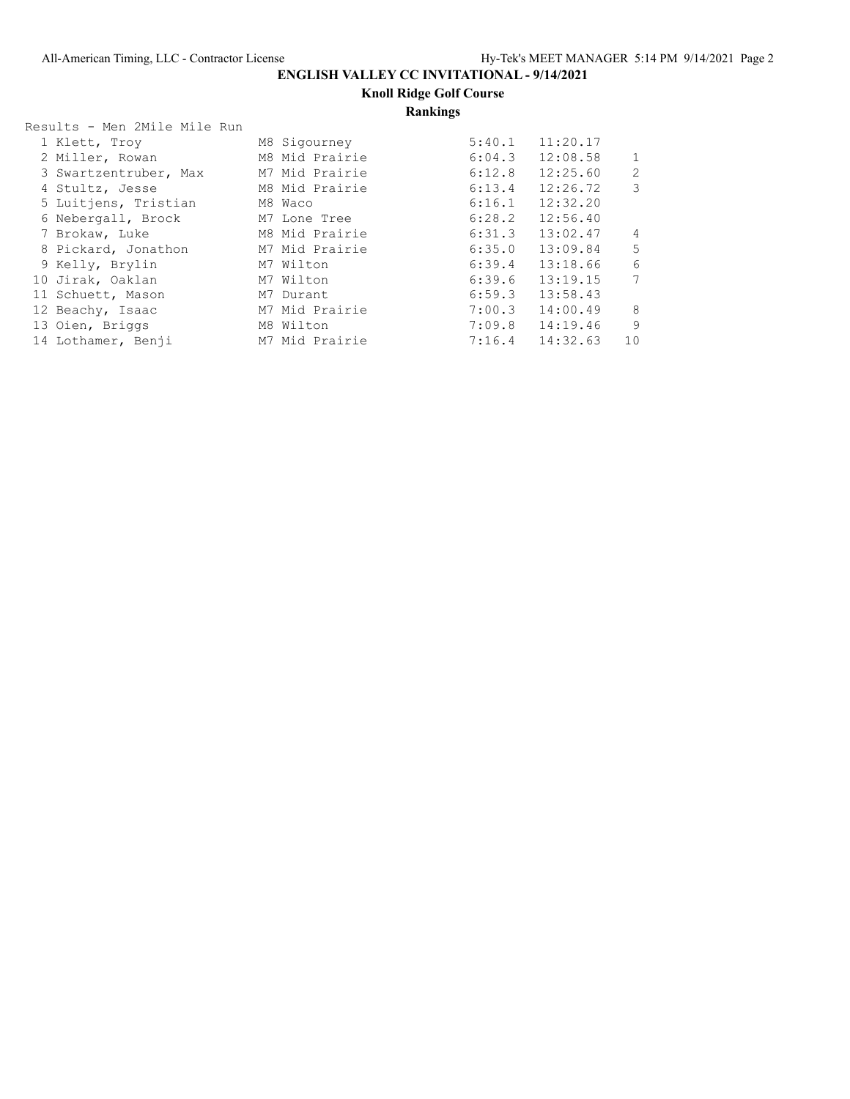**Knoll Ridge Golf Course**

## **Rankings**

| Results - Men 2Mile Mile Run |                |        |                     |                |
|------------------------------|----------------|--------|---------------------|----------------|
| 1 Klett, Troy                | M8 Sigourney   | 5:40.1 | 11:20.17            |                |
| 2 Miller, Rowan              | M8 Mid Prairie | 6:04.3 | 12:08.58            | $\mathbf{1}$   |
| 3 Swartzentruber, Max        | M7 Mid Prairie | 6:12.8 | 12:25.60            | $\overline{c}$ |
| 4 Stultz, Jesse              | M8 Mid Prairie | 6:13.4 | 12:26.72            | $\mathcal{S}$  |
| 5 Luitjens, Tristian         | M8 Waco        | 6:16.1 | 12:32.20            |                |
| 6 Nebergall, Brock           | M7 Lone Tree   | 6:28.2 | 12:56.40            |                |
| 7 Brokaw, Luke               | M8 Mid Prairie | 6:31.3 | 13:02.47            | 4              |
| 8 Pickard, Jonathon          | M7 Mid Prairie | 6:35.0 | 13:09.84            | 5              |
| 9 Kelly, Brylin              | M7 Wilton      | 6:39.4 | 13:18.66            | 6              |
| 10 Jirak, Oaklan             | M7 Wilton      | 6:39.6 | 13:19.15            | $\overline{7}$ |
| 11 Schuett, Mason            | M7 Durant      | 6:59.3 | 13:58.43            |                |
| 12 Beachy, Isaac             | M7 Mid Prairie | 7:00.3 | 14:00.49            | 8              |
| 13 Oien, Briggs              | M8 Wilton      |        | $7:09.8$ 14:19.46   | 9              |
| 14 Lothamer, Benji           | M7 Mid Prairie |        | $7:16.4$ $14:32.63$ | 10             |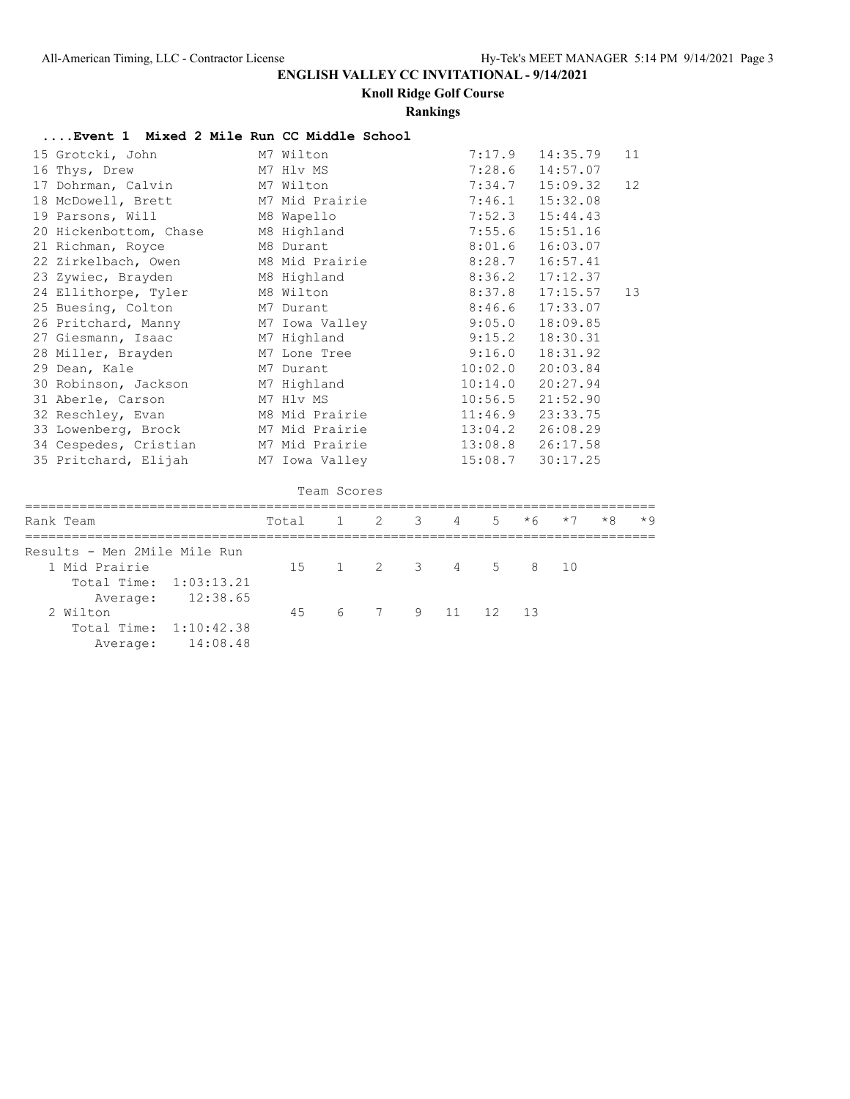**Knoll Ridge Golf Course**

#### **Rankings**

### **....Event 1 Mixed 2 Mile Run CC Middle School**

| 15 Grotcki, John             |       | M7 Wilton    |                |               |   |   | 7:17.9  |      | 14:35.79 |      | 11   |
|------------------------------|-------|--------------|----------------|---------------|---|---|---------|------|----------|------|------|
| 16 Thys, Drew                |       | M7 Hlv MS    |                |               |   |   | 7:28.6  |      | 14:57.07 |      |      |
| 17 Dohrman, Calvin           |       | M7 Wilton    |                |               |   |   | 7:34.7  |      | 15:09.32 |      | 12   |
| 18 McDowell, Brett           |       |              | M7 Mid Prairie |               |   |   | 7:46.1  |      | 15:32.08 |      |      |
| 19 Parsons, Will             |       | M8 Wapello   |                |               |   |   | 7:52.3  |      | 15:44.43 |      |      |
| 20 Hickenbottom, Chase       |       | M8 Highland  |                |               |   |   | 7:55.6  |      | 15:51.16 |      |      |
| 21 Richman, Royce            |       | M8 Durant    |                |               |   |   | 8:01.6  |      | 16:03.07 |      |      |
| 22 Zirkelbach, Owen          |       |              | M8 Mid Prairie |               |   |   | 8:28.7  |      | 16:57.41 |      |      |
| 23 Zywiec, Brayden           |       | M8 Highland  |                |               |   |   | 8:36.2  |      | 17:12.37 |      |      |
| 24 Ellithorpe, Tyler         |       | M8 Wilton    |                |               |   |   | 8:37.8  |      | 17:15.57 |      | 13   |
| 25 Buesing, Colton           |       | M7 Durant    |                |               |   |   | 8:46.6  |      | 17:33.07 |      |      |
| 26 Pritchard, Manny          |       |              | M7 Iowa Valley |               |   |   | 9:05.0  |      | 18:09.85 |      |      |
| 27 Giesmann, Isaac           |       | M7 Highland  |                |               |   |   | 9:15.2  |      | 18:30.31 |      |      |
| 28 Miller, Brayden           |       | M7 Lone Tree |                |               |   |   | 9:16.0  |      | 18:31.92 |      |      |
| 29 Dean, Kale                |       | M7 Durant    |                |               |   |   | 10:02.0 |      | 20:03.84 |      |      |
| 30 Robinson, Jackson         |       | M7 Highland  |                |               |   |   | 10:14.0 |      | 20:27.94 |      |      |
| 31 Aberle, Carson            |       | M7 Hlv MS    |                |               |   |   | 10:56.5 |      | 21:52.90 |      |      |
| 32 Reschley, Evan            |       |              | M8 Mid Prairie |               |   |   | 11:46.9 |      | 23:33.75 |      |      |
| 33 Lowenberg, Brock          |       |              | M7 Mid Prairie |               |   |   | 13:04.2 |      | 26:08.29 |      |      |
| 34 Cespedes, Cristian        |       |              | M7 Mid Prairie |               |   |   | 13:08.8 |      | 26:17.58 |      |      |
| 35 Pritchard, Elijah         |       |              | M7 Iowa Valley |               |   |   | 15:08.7 |      | 30:17.25 |      |      |
|                              |       |              |                |               |   |   |         |      |          |      |      |
|                              |       |              | Team Scores    |               |   |   |         |      |          |      |      |
| Rank Team                    | Total |              | $\mathbf{1}$   | $\mathcal{L}$ | 3 | 4 | 5       | $*6$ | $*7$     | $*8$ | $*9$ |
|                              |       |              |                |               |   |   |         |      |          |      |      |
| Results - Men 2Mile Mile Run |       |              |                |               |   |   |         |      |          |      |      |
| 1 Mid Prairie                |       | 15           | $\mathbf{1}$   | 2             | 3 | 4 | 5       | 8    | 10       |      |      |
| Total Time:<br>1:03:13.21    |       |              |                |               |   |   |         |      |          |      |      |

Average: 12:38.65<br>2 Wilton 2 Wilton 45 6 7 9 11 12 13 Total Time: 1:10:42.38

Average: 14:08.48